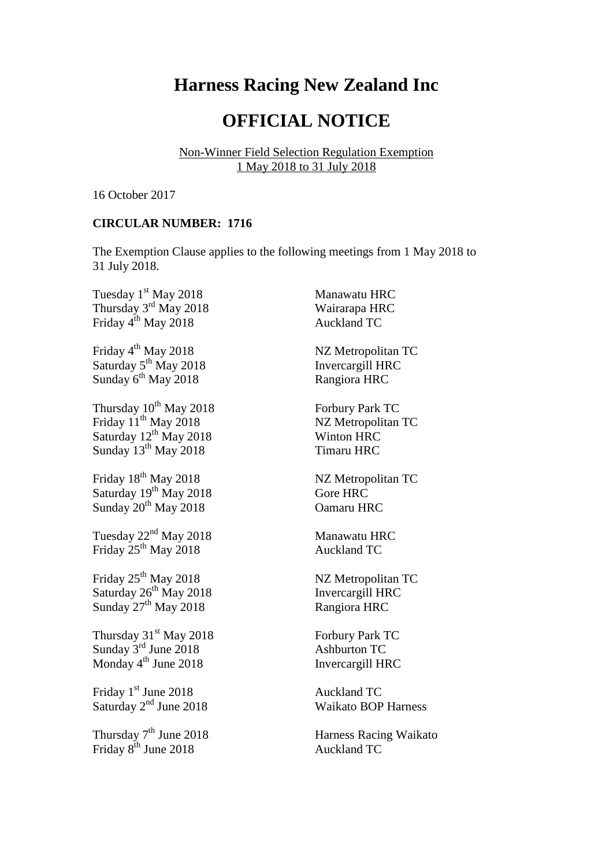## **Harness Racing New Zealand Inc**

## **OFFICIAL NOTICE**

Non-Winner Field Selection Regulation Exemption 1 May 2018 to 31 July 2018

16 October 2017

## **CIRCULAR NUMBER: 1716**

The Exemption Clause applies to the following meetings from 1 May 2018 to 31 July 2018.

Tuesday 1<sup>st</sup> May 2018 **Manawatu HRC** Thursday 3<sup>rd</sup> May 2018 Wairarapa HRC Friday 4<sup>th</sup> May 2018 Auckland TC

Friday 4<sup>th</sup> May 2018 NZ Metropolitan TC Saturday 5<sup>th</sup> May 2018 **Invercargill HRC** Sunday 6<sup>th</sup> May 2018 Rangiora HRC

Thursday  $10^{th}$  May 2018 Forbury Park TC Friday 11<sup>th</sup> May 2018 NZ Metropolitan TC Saturday  $12^{th}$  May 2018 Winton HRC Sunday 13<sup>th</sup> May 2018 Timaru HRC

Friday 18<sup>th</sup> May 2018 NZ Metropolitan TC Saturday  $19^{th}$  May 2018 Gore HRC Sunday  $20^{th}$  May  $2018$  Oamaru HRC

Tuesday  $22<sup>nd</sup>$  May 2018 Manawatu HRC Friday 25<sup>th</sup> May 2018 Auckland TC

Friday 25<sup>th</sup> May 2018 NZ Metropolitan TC Saturday  $26<sup>th</sup>$  May 2018 Invercargill HRC Sunday  $25^{\circ}$  May 2018 Rangiora HRC

Thursday 31<sup>st</sup> May 2018 Forbury Park TC Sunday 3<sup>rd</sup> June 2018 Ashburton TC Monday 4<sup>th</sup> June 2018 **Invercargill HRC** 

Friday 1<sup>st</sup> June 2018 Auckland TC Saturday 2<sup>nd</sup> June 2018 Waikato BOP Harness

Thursday 7<sup>th</sup> June 2018 **Harness Racing Waikato** Friday 8<sup>th</sup> June 2018 **Auckland TC**